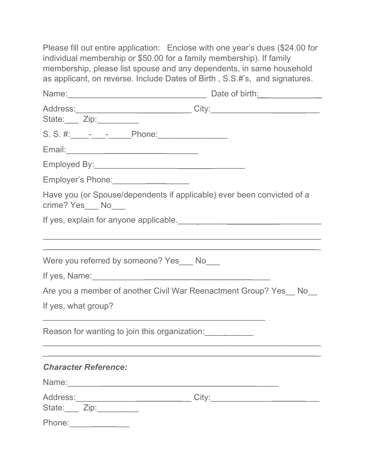Please fill out entire application: Enclose with one year's dues (\$24.00 for individual membership or \$50.00 for a family membership). If family membership, please list spouse and any dependents, in same household as applicant, on reverse. Include Dates of Birth , S.S.#'s, and signatures.

|                                                                                                                 | Address:________________________________City:___________________________________ |
|-----------------------------------------------------------------------------------------------------------------|----------------------------------------------------------------------------------|
| State: Zip: _________                                                                                           |                                                                                  |
|                                                                                                                 |                                                                                  |
| Email: 2008. 2009. 2010. 2010. 2010. 2010. 2010. 2011. 2012. 2012. 2012. 2012. 2014. 2014. 2014. 2014. 2014. 20 |                                                                                  |
|                                                                                                                 |                                                                                  |
| Employer's Phone: _______________________                                                                       |                                                                                  |
| Have you (or Spouse/dependents if applicable) ever been convicted of a<br>crime? Yes___ No___                   |                                                                                  |
|                                                                                                                 |                                                                                  |
| Were you referred by someone? Yes___ No___                                                                      |                                                                                  |
|                                                                                                                 |                                                                                  |
|                                                                                                                 | Are you a member of another Civil War Reenactment Group? Yes No                  |
| If yes, what group?                                                                                             |                                                                                  |
|                                                                                                                 | Reason for wanting to join this organization:                                    |
| <b>Character Reference:</b>                                                                                     |                                                                                  |
|                                                                                                                 |                                                                                  |
| State: Zip:                                                                                                     | Address:________________________________City:___________________________________ |
| Phone:<br><u> 1990 - Jan Jawa Barat, prima pro</u>                                                              |                                                                                  |